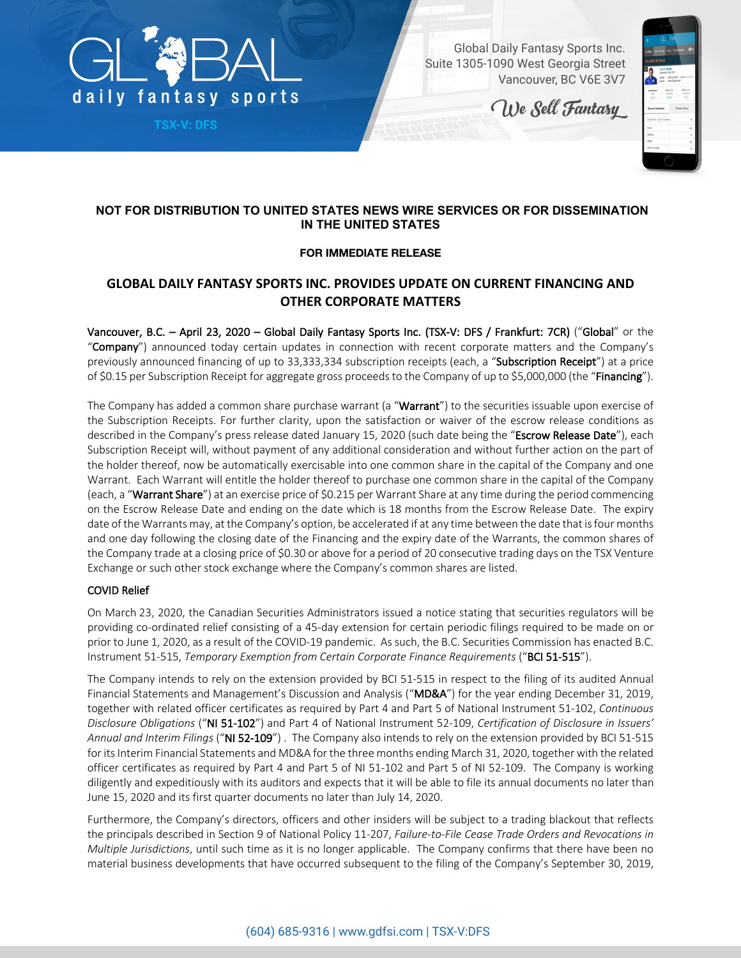

**TSX-V: DFS**

Global Daily Fantasy Sports Inc. Suite 1305-1090 West Georgia Street Vancouver, BC V6E 3V7

We Sell Fantasy

| ٠                             | <b>GL BAL</b>                                              |                                  |
|-------------------------------|------------------------------------------------------------|----------------------------------|
| Lobby Upcoming Live Completed |                                                            | $\overline{\theta}$              |
| <b>PLAYER DETAILS</b>         |                                                            |                                  |
|                               | Jamie Vardy<br>Leicester City   #9<br>Salary Next Opponent | \$100   LFC @ SWA 1200pm ET 1312 |
| Led Season<br><b>MIS</b>      | UC e FU.<br>131216                                         | URLG KIV<br>10/25/20             |
| 27.5                          | 22.5                                                       | 11.0                             |
| <b>Recent Statistics</b>      |                                                            | <b>Player News</b>               |
| Stap Shot-Last 10 Games       |                                                            | ٠                                |
| Grain                         |                                                            | 10                               |
| Assista                       |                                                            | ĸ                                |
|                               |                                                            | 12                               |
| Shops:<br>Shots on final      |                                                            |                                  |

## **NOT FOR DISTRIBUTION TO UNITED STATES NEWS WIRE SERVICES OR FOR DISSEMINATION IN THE UNITED STATES**

## **FOR IMMEDIATE RELEASE**

# **GLOBAL DAILY FANTASY SPORTS INC. PROVIDES UPDATE ON CURRENT FINANCING AND OTHER CORPORATE MATTERS**

Vancouver, B.C. – April 23, 2020 – Global Daily Fantasy Sports Inc. (TSX-V: DFS / Frankfurt: 7CR) ("Global" or the "Company") announced today certain updates in connection with recent corporate matters and the Company's previously announced financing of up to 33,333,334 subscription receipts (each, a "Subscription Receipt") at a price of \$0.15 per Subscription Receipt for aggregate gross proceeds to the Company of up to \$5,000,000 (the "Financing").

The Company has added a common share purchase warrant (a "Warrant") to the securities issuable upon exercise of the Subscription Receipts. For further clarity, upon the satisfaction or waiver of the escrow release conditions as described in the Company's press release dated January 15, 2020 (such date being the "Escrow Release Date"), each Subscription Receipt will, without payment of any additional consideration and without further action on the part of the holder thereof, now be automatically exercisable into one common share in the capital of the Company and one Warrant. Each Warrant will entitle the holder thereof to purchase one common share in the capital of the Company (each, a "Warrant Share") at an exercise price of \$0.215 per Warrant Share at any time during the period commencing on the Escrow Release Date and ending on the date which is 18 months from the Escrow Release Date. The expiry date of the Warrants may, at the Company's option, be accelerated if at any time between the date that is four months and one day following the closing date of the Financing and the expiry date of the Warrants, the common shares of the Company trade at a closing price of \$0.30 or above for a period of 20 consecutive trading days on the TSX Venture Exchange or such other stock exchange where the Company's common shares are listed.

### COVID Relief

On March 23, 2020, the Canadian Securities Administrators issued a notice stating that securities regulators will be providing co-ordinated relief consisting of a 45-day extension for certain periodic filings required to be made on or prior to June 1, 2020, as a result of the COVID-19 pandemic. As such, the B.C. Securities Commission has enacted B.C. Instrument 51-515, *Temporary Exemption from Certain Corporate Finance Requirements* ("BCI 51-515").

The Company intends to rely on the extension provided by BCI 51-515 in respect to the filing of its audited Annual Financial Statements and Management's Discussion and Analysis ("MD&A") for the year ending December 31, 2019, together with related officer certificates as required by Part 4 and Part 5 of National Instrument 51-102, *Continuous Disclosure Obligations* ("NI 51-102") and Part 4 of National Instrument 52-109, *Certification of Disclosure in Issuers' Annual and Interim Filings* ("NI 52-109") . The Company also intends to rely on the extension provided by BCI 51-515 for its Interim Financial Statements and MD&A for the three months ending March 31, 2020, together with the related officer certificates as required by Part 4 and Part 5 of NI 51-102 and Part 5 of NI 52-109. The Company is working diligently and expeditiously with its auditors and expects that it will be able to file its annual documents no later than June 15, 2020 and its first quarter documents no later than July 14, 2020.

Furthermore, the Company's directors, officers and other insiders will be subject to a trading blackout that reflects the principals described in Section 9 of National Policy 11-207, *Failure-to-File Cease Trade Orders and Revocations in Multiple Jurisdictions*, until such time as it is no longer applicable. The Company confirms that there have been no material business developments that have occurred subsequent to the filing of the Company's September 30, 2019,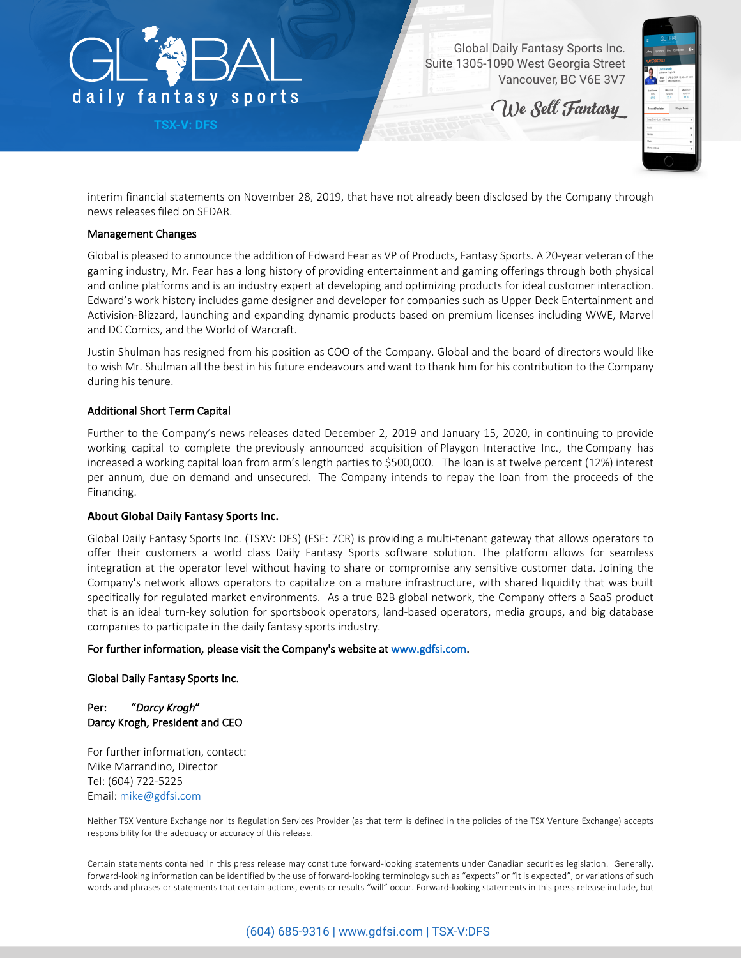

**TSX-V: DFS**

Global Daily Fantasy Sports Inc. Suite 1305-1090 West Georgia Street Vancouver, BC V6E 3V7

We Sell Fantasy



interim financial statements on November 28, 2019, that have not already been disclosed by the Company through news releases filed on SEDAR.

#### Management Changes

Global is pleased to announce the addition of Edward Fear as VP of Products, Fantasy Sports. A 20-year veteran of the gaming industry, Mr. Fear has a long history of providing entertainment and gaming offerings through both physical and online platforms and is an industry expert at developing and optimizing products for ideal customer interaction. Edward's work history includes game designer and developer for companies such as Upper Deck Entertainment and Activision-Blizzard, launching and expanding dynamic products based on premium licenses including WWE, Marvel and DC Comics, and the World of Warcraft.

Justin Shulman has resigned from his position as COO of the Company. Global and the board of directors would like to wish Mr. Shulman all the best in his future endeavours and want to thank him for his contribution to the Company during his tenure.

#### Additional Short Term Capital

Further to the Company's news releases dated December 2, 2019 and January 15, 2020, in continuing to provide working capital to complete the previously announced acquisition of Playgon Interactive Inc., the Company has increased a working capital loan from arm's length parties to \$500,000. The loan is at twelve percent (12%) interest per annum, due on demand and unsecured. The Company intends to repay the loan from the proceeds of the Financing.

#### **About Global Daily Fantasy Sports Inc.**

Global Daily Fantasy Sports Inc. (TSXV: DFS) (FSE: 7CR) is providing a multi-tenant gateway that allows operators to offer their customers a world class Daily Fantasy Sports software solution. The platform allows for seamless integration at the operator level without having to share or compromise any sensitive customer data. Joining the Company's network allows operators to capitalize on a mature infrastructure, with shared liquidity that was built specifically for regulated market environments. As a true B2B global network, the Company offers a SaaS product that is an ideal turn-key solution for sportsbook operators, land-based operators, media groups, and big database companies to participate in the daily fantasy sports industry.

#### For further information, please visit the Company's website at www.gdfsi.com.

#### Global Daily Fantasy Sports Inc.

Per: "*Darcy Krogh*" Darcy Krogh, President and CEO

For further information, contact: Mike Marrandino, Director Tel: (604) 722-5225 Email: mike@gdfsi.com

Neither TSX Venture Exchange nor its Regulation Services Provider (as that term is defined in the policies of the TSX Venture Exchange) accepts responsibility for the adequacy or accuracy of this release.

Certain statements contained in this press release may constitute forward-looking statements under Canadian securities legislation. Generally, forward-looking information can be identified by the use of forward-looking terminology such as "expects" or "it is expected", or variations of such words and phrases or statements that certain actions, events or results "will" occur. Forward-looking statements in this press release include, but

## (604) 685-9316 | www.gdfsi.com | TSX-V:DFS